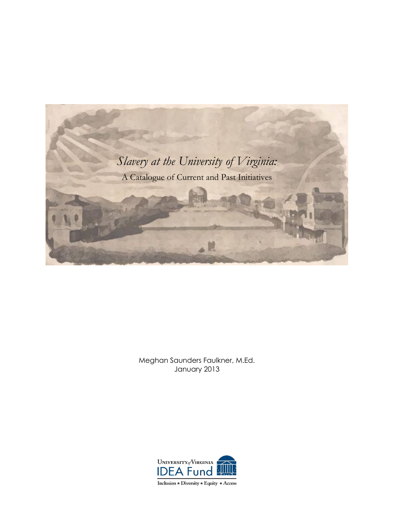

Meghan Saunders Faulkner, M.Ed. January 2013



Inclusion  $\star$  Diversity  $\star$  Equity  $\star$  Access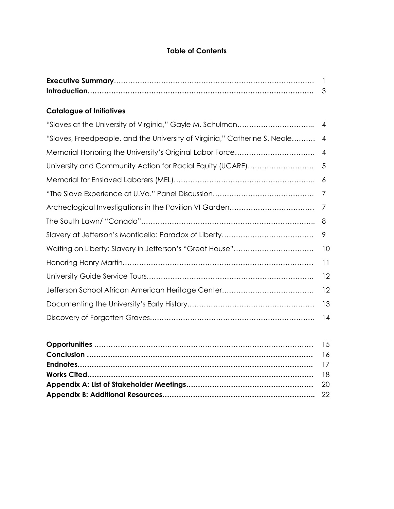# **Table of Contents**

# **Catalogue of Initiatives**

|                                                                           | $\overline{4}$ |
|---------------------------------------------------------------------------|----------------|
| "Slaves, Freedpeople, and the University of Virginia," Catherine S. Neale | $\overline{4}$ |
|                                                                           | $\overline{4}$ |
|                                                                           |                |
|                                                                           | -6             |
|                                                                           |                |
|                                                                           |                |
|                                                                           |                |
|                                                                           | 9              |
|                                                                           | 10             |
|                                                                           | 11             |
|                                                                           | 12             |
|                                                                           | 12             |
|                                                                           | 13             |
|                                                                           | 14             |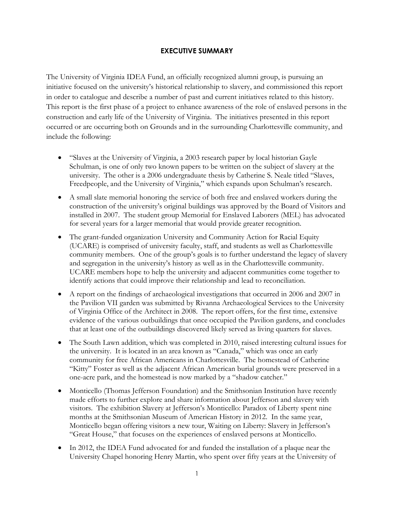## **EXECUTIVE SUMMARY**

The University of Virginia IDEA Fund, an officially recognized alumni group, is pursuing an initiative focused on the university's historical relationship to slavery, and commissioned this report in order to catalogue and describe a number of past and current initiatives related to this history. This report is the first phase of a project to enhance awareness of the role of enslaved persons in the construction and early life of the University of Virginia. The initiatives presented in this report occurred or are occurring both on Grounds and in the surrounding Charlottesville community, and include the following:

- "Slaves at the University of Virginia, a 2003 research paper by local historian Gayle Schulman, is one of only two known papers to be written on the subject of slavery at the university. The other is a 2006 undergraduate thesis by Catherine S. Neale titled "Slaves, Freedpeople, and the University of Virginia," which expands upon Schulman's research.
- A small slate memorial honoring the service of both free and enslaved workers during the construction of the university's original buildings was approved by the Board of Visitors and installed in 2007. The student group Memorial for Enslaved Laborers (MEL) has advocated for several years for a larger memorial that would provide greater recognition.
- The grant-funded organization University and Community Action for Racial Equity (UCARE) is comprised of university faculty, staff, and students as well as Charlottesville community members. One of the group's goals is to further understand the legacy of slavery and segregation in the university's history as well as in the Charlottesville community. UCARE members hope to help the university and adjacent communities come together to identify actions that could improve their relationship and lead to reconciliation.
- A report on the findings of archaeological investigations that occurred in 2006 and 2007 in the Pavilion VII garden was submitted by Rivanna Archaeological Services to the University of Virginia Office of the Architect in 2008. The report offers, for the first time, extensive evidence of the various outbuildings that once occupied the Pavilion gardens, and concludes that at least one of the outbuildings discovered likely served as living quarters for slaves.
- The South Lawn addition, which was completed in 2010, raised interesting cultural issues for the university. It is located in an area known as "Canada," which was once an early community for free African Americans in Charlottesville. The homestead of Catherine "Kitty" Foster as well as the adjacent African American burial grounds were preserved in a one-acre park, and the homestead is now marked by a "shadow catcher."
- Monticello (Thomas Jefferson Foundation) and the Smithsonian Institution have recently made efforts to further explore and share information about Jefferson and slavery with visitors. The exhibition Slavery at Jefferson's Monticello: Paradox of Liberty spent nine months at the Smithsonian Museum of American History in 2012. In the same year, Monticello began offering visitors a new tour, Waiting on Liberty: Slavery in Jefferson's "Great House," that focuses on the experiences of enslaved persons at Monticello.
- In 2012, the IDEA Fund advocated for and funded the installation of a plaque near the University Chapel honoring Henry Martin, who spent over fifty years at the University of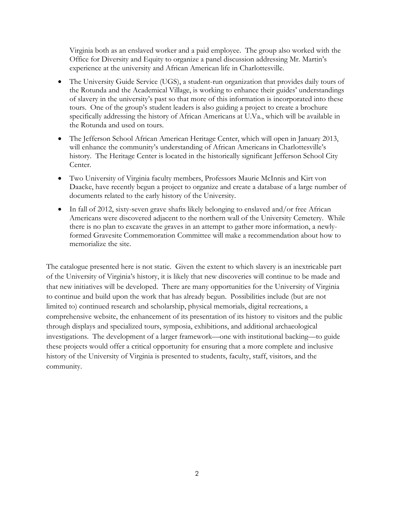Virginia both as an enslaved worker and a paid employee. The group also worked with the Office for Diversity and Equity to organize a panel discussion addressing Mr. Martin's experience at the university and African American life in Charlottesville.

- The University Guide Service (UGS), a student-run organization that provides daily tours of the Rotunda and the Academical Village, is working to enhance their guides' understandings of slavery in the university's past so that more of this information is incorporated into these tours. One of the group's student leaders is also guiding a project to create a brochure specifically addressing the history of African Americans at U.Va., which will be available in the Rotunda and used on tours.
- The Jefferson School African American Heritage Center, which will open in January 2013, will enhance the community's understanding of African Americans in Charlottesville's history. The Heritage Center is located in the historically significant Jefferson School City Center.
- Two University of Virginia faculty members, Professors Maurie McInnis and Kirt von Daacke, have recently begun a project to organize and create a database of a large number of documents related to the early history of the University.
- In fall of 2012, sixty-seven grave shafts likely belonging to enslaved and/or free African Americans were discovered adjacent to the northern wall of the University Cemetery. While there is no plan to excavate the graves in an attempt to gather more information, a newlyformed Gravesite Commemoration Committee will make a recommendation about how to memorialize the site.

The catalogue presented here is not static. Given the extent to which slavery is an inextricable part of the University of Virginia's history, it is likely that new discoveries will continue to be made and that new initiatives will be developed. There are many opportunities for the University of Virginia to continue and build upon the work that has already begun. Possibilities include (but are not limited to) continued research and scholarship, physical memorials, digital recreations, a comprehensive website, the enhancement of its presentation of its history to visitors and the public through displays and specialized tours, symposia, exhibitions, and additional archaeological investigations. The development of a larger framework—one with institutional backing—to guide these projects would offer a critical opportunity for ensuring that a more complete and inclusive history of the University of Virginia is presented to students, faculty, staff, visitors, and the community.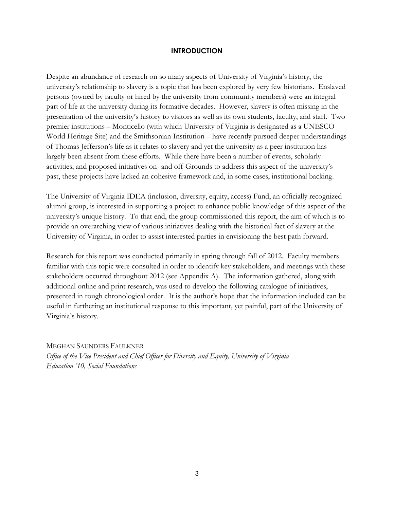### **INTRODUCTION**

Despite an abundance of research on so many aspects of University of Virginia's history, the university's relationship to slavery is a topic that has been explored by very few historians. Enslaved persons (owned by faculty or hired by the university from community members) were an integral part of life at the university during its formative decades. However, slavery is often missing in the presentation of the university's history to visitors as well as its own students, faculty, and staff. Two premier institutions – Monticello (with which University of Virginia is designated as a UNESCO World Heritage Site) and the Smithsonian Institution – have recently pursued deeper understandings of Thomas Jefferson's life as it relates to slavery and yet the university as a peer institution has largely been absent from these efforts. While there have been a number of events, scholarly activities, and proposed initiatives on- and off-Grounds to address this aspect of the university's past, these projects have lacked an cohesive framework and, in some cases, institutional backing.

The University of Virginia IDEA (inclusion, diversity, equity, access) Fund, an officially recognized alumni group, is interested in supporting a project to enhance public knowledge of this aspect of the university's unique history. To that end, the group commissioned this report, the aim of which is to provide an overarching view of various initiatives dealing with the historical fact of slavery at the University of Virginia, in order to assist interested parties in envisioning the best path forward.

Research for this report was conducted primarily in spring through fall of 2012. Faculty members familiar with this topic were consulted in order to identify key stakeholders, and meetings with these stakeholders occurred throughout 2012 (see Appendix A). The information gathered, along with additional online and print research, was used to develop the following catalogue of initiatives, presented in rough chronological order. It is the author's hope that the information included can be useful in furthering an institutional response to this important, yet painful, part of the University of Virginia's history.

MEGHAN SAUNDERS FAULKNER *Office of the Vice President and Chief Officer for Diversity and Equity, University of Virginia Education '10, Social Foundations*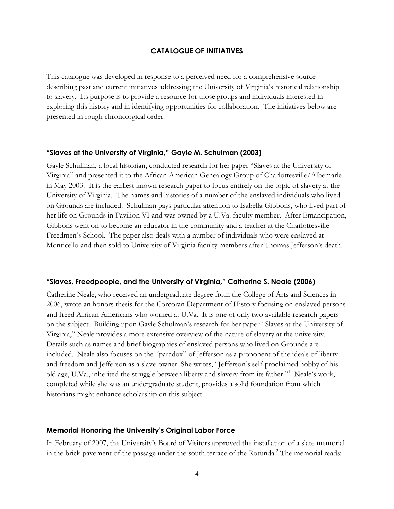### **CATALOGUE OF INITIATIVES**

This catalogue was developed in response to a perceived need for a comprehensive source describing past and current initiatives addressing the University of Virginia's historical relationship to slavery. Its purpose is to provide a resource for those groups and individuals interested in exploring this history and in identifying opportunities for collaboration. The initiatives below are presented in rough chronological order.

#### **"Slaves at the University of Virginia," Gayle M. Schulman (2003)**

Gayle Schulman, a local historian, conducted research for her paper "Slaves at the University of Virginia" and presented it to the African American Genealogy Group of Charlottesville/Albemarle in May 2003. It is the earliest known research paper to focus entirely on the topic of slavery at the University of Virginia. The names and histories of a number of the enslaved individuals who lived on Grounds are included. Schulman pays particular attention to Isabella Gibbons, who lived part of her life on Grounds in Pavilion VI and was owned by a U.Va. faculty member. After Emancipation, Gibbons went on to become an educator in the community and a teacher at the Charlottesville Freedmen's School. The paper also deals with a number of individuals who were enslaved at Monticello and then sold to University of Virginia faculty members after Thomas Jefferson's death.

#### **"Slaves, Freedpeople, and the University of Virginia," Catherine S. Neale (2006)**

Catherine Neale, who received an undergraduate degree from the College of Arts and Sciences in 2006, wrote an honors thesis for the Corcoran Department of History focusing on enslaved persons and freed African Americans who worked at U.Va. It is one of only two available research papers on the subject. Building upon Gayle Schulman's research for her paper "Slaves at the University of Virginia," Neale provides a more extensive overview of the nature of slavery at the university. Details such as names and brief biographies of enslaved persons who lived on Grounds are included. Neale also focuses on the "paradox" of Jefferson as a proponent of the ideals of liberty and freedom and Jefferson as a slave-owner. She writes, "Jefferson's self-proclaimed hobby of his old age, U.Va., inherited the struggle between liberty and slavery from its father."<sup>1</sup> Neale's work, completed while she was an undergraduate student, provides a solid foundation from which historians might enhance scholarship on this subject.

#### **Memorial Honoring the University's Original Labor Force**

In February of 2007, the University's Board of Visitors approved the installation of a slate memorial in the brick pavement of the passage under the south terrace of the Rotunda.<sup>2</sup> The memorial reads: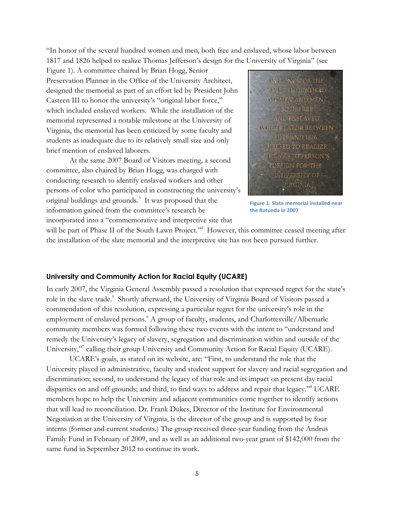"In honor of the several hundred women and men, both free and enslaved, whose labor between 1817 and 1826 helped to realize Thomas Jefferson's design for the University of Virginia" (see

Figure 1). A committee chaired by Brian Hogg, Senior Preservation Planner in the Office of the University Architect, designed the memorial as part of an effort led by President John Casteen III to honor the university's "original labor force," which included enslaved workers. While the installation of the memorial represented a notable milestone at the University of Virginia, the memorial has been criticized by some faculty and students as inadequate due to its relatively small size and only brief mention of enslaved laborers.

At the same 2007 Board of Visitors meeting, a second committee, also chaired by Brian Hogg, was charged with conducting research to identify enslaved workers and other persons of color who participated in constructing the university's original buildings and grounds.<sup>3</sup> It was proposed that the information gained from the committee's research be incorporated into a "commemorative and interpretive site that



**Figure 1: Slate memorial installed near the Rotunda in 2007**

will be part of Phase II of the South Lawn Project."<sup>4</sup> However, this committee ceased meeting after the installation of the slate memorial and the interpretive site has not been pursued further.

### **University and Community Action for Racial Equity (UCARE)**

In early 2007, the Virginia General Assembly passed a resolution that expressed regret for the state's role in the slave trade.<sup>5</sup> Shortly afterward, the University of Virginia Board of Visitors passed a commendation of this resolution, expressing a particular regret for the university's role in the employment of enslaved persons.<sup>6</sup> A group of faculty, students, and Charlottesville/Albemarle community members was formed following these two events with the intent to "understand and remedy the University's legacy of slavery, segregation and discrimination within and outside of the University," calling their group University and Community Action for Racial Equity (UCARE).

UCARE's goals, as stated on its website, are: "First, to understand the role that the University played in administrative, faculty and student support for slavery and racial segregation and discrimination; second, to understand the legacy of that role and its impact on present day racial disparities on and off grounds; and third, to find ways to address and repair that legacy."<sup>8</sup> UCARE members hope to help the University and adjacent communities come together to identify actions that will lead to reconciliation. Dr. Frank Dukes, Director of the Institute for Environmental Negotiation at the University of Virginia, is the director of the group and is supported by four interns (former and current students.) The group received three-year funding from the Andrus Family Fund in February of 2009, and as well as an additional two-year grant of \$142,000 from the same fund in September 2012 to continue its work.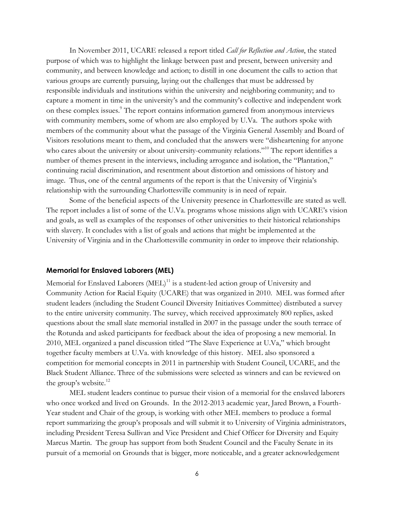In November 2011, UCARE released a report titled *Call for Reflection and Action*, the stated purpose of which was to highlight the linkage between past and present, between university and community, and between knowledge and action; to distill in one document the calls to action that various groups are currently pursuing, laying out the challenges that must be addressed by responsible individuals and institutions within the university and neighboring community; and to capture a moment in time in the university's and the community's collective and independent work on these complex issues.<sup>9</sup> The report contains information garnered from anonymous interviews with community members, some of whom are also employed by U.Va. The authors spoke with members of the community about what the passage of the Virginia General Assembly and Board of Visitors resolutions meant to them, and concluded that the answers were "disheartening for anyone who cares about the university or about university-community relations."<sup>10</sup> The report identifies a number of themes present in the interviews, including arrogance and isolation, the "Plantation," continuing racial discrimination, and resentment about distortion and omissions of history and image. Thus, one of the central arguments of the report is that the University of Virginia's relationship with the surrounding Charlottesville community is in need of repair.

Some of the beneficial aspects of the University presence in Charlottesville are stated as well. The report includes a list of some of the U.Va. programs whose missions align with UCARE's vision and goals, as well as examples of the responses of other universities to their historical relationships with slavery. It concludes with a list of goals and actions that might be implemented at the University of Virginia and in the Charlottesville community in order to improve their relationship.

#### **Memorial for Enslaved Laborers (MEL)**

Memorial for Enslaved Laborers  $(MEL)^{11}$  is a student-led action group of University and Community Action for Racial Equity (UCARE) that was organized in 2010. MEL was formed after student leaders (including the Student Council Diversity Initiatives Committee) distributed a survey to the entire university community. The survey, which received approximately 800 replies, asked questions about the small slate memorial installed in 2007 in the passage under the south terrace of the Rotunda and asked participants for feedback about the idea of proposing a new memorial. In 2010, MEL organized a panel discussion titled "The Slave Experience at U.Va," which brought together faculty members at U.Va. with knowledge of this history. MEL also sponsored a competition for memorial concepts in 2011 in partnership with Student Council, UCARE, and the Black Student Alliance. Three of the submissions were selected as winners and can be reviewed on the group's website.<sup>12</sup>

MEL student leaders continue to pursue their vision of a memorial for the enslaved laborers who once worked and lived on Grounds. In the 2012-2013 academic year, Jared Brown, a Fourth-Year student and Chair of the group, is working with other MEL members to produce a formal report summarizing the group's proposals and will submit it to University of Virginia administrators, including President Teresa Sullivan and Vice President and Chief Officer for Diversity and Equity Marcus Martin. The group has support from both Student Council and the Faculty Senate in its pursuit of a memorial on Grounds that is bigger, more noticeable, and a greater acknowledgement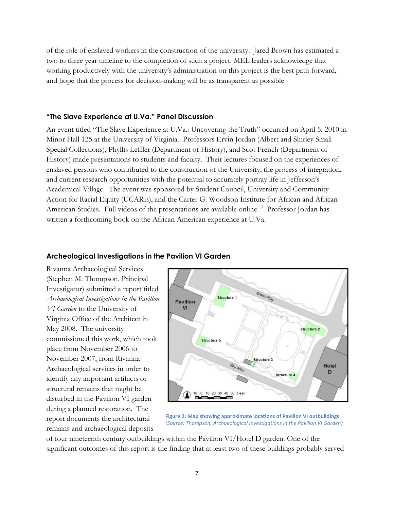of the role of enslaved workers in the construction of the university. Jared Brown has estimated a two to three year timeline to the completion of such a project. MEL leaders acknowledge that working productively with the university's administration on this project is the best path forward, and hope that the process for decision-making will be as transparent as possible.

#### **"The Slave Experience at U.Va." Panel Discussion**

An event titled "The Slave Experience at U.Va.: Uncovering the Truth" occurred on April 5, 2010 in Minor Hall 125 at the University of Virginia. Professors Ervin Jordan (Albert and Shirley Small Special Collections), Phyllis Leffler (Department of History), and Scot French (Department of History) made presentations to students and faculty. Their lectures focused on the experiences of enslaved persons who contributed to the construction of the University, the process of integration, and current research opportunities with the potential to accurately portray life in Jefferson's Academical Village. The event was sponsored by Student Council, University and Community Action for Racial Equity (UCARE), and the Carter G. Woodson Institute for African and African American Studies. Full videos of the presentations are available online.<sup>13</sup> Professor Jordan has written a forthcoming book on the African American experience at U.Va.

### **Archeological Investigations in the Pavilion VI Garden**

Rivanna Archaeological Services (Stephen M. Thompson, Principal Investigator) submitted a report titled *Archaeological Investigations in the Pavilion VI Garden* to the University of Virginia Office of the Architect in May 2008. The university commissioned this work, which took place from November 2006 to November 2007, from Rivanna Archaeological services in order to identify any important artifacts or structural remains that might be disturbed in the Pavilion VI garden during a planned restoration. The report documents the architectural remains and archaeological deposits



**Figure 2: Map showing approximate locations of Pavilion VI outbuildings** *(Source: Thompson, Archaeological Investigations in the Pavilion VI Garden)*

of four nineteenth century outbuildings within the Pavilion VI/Hotel D garden. One of the significant outcomes of this report is the finding that at least two of these buildings probably served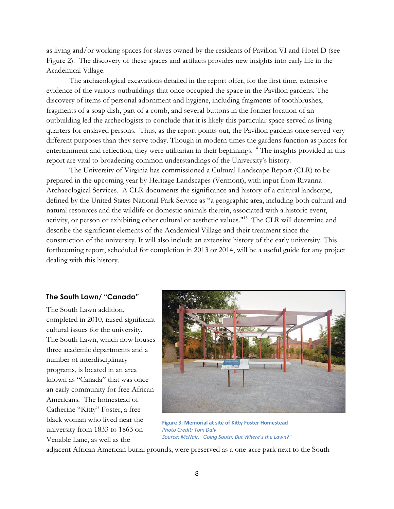as living and/or working spaces for slaves owned by the residents of Pavilion VI and Hotel D (see Figure 2). The discovery of these spaces and artifacts provides new insights into early life in the Academical Village.

The archaeological excavations detailed in the report offer, for the first time, extensive evidence of the various outbuildings that once occupied the space in the Pavilion gardens. The discovery of items of personal adornment and hygiene, including fragments of toothbrushes, fragments of a soap dish, part of a comb, and several buttons in the former location of an outbuilding led the archeologists to conclude that it is likely this particular space served as living quarters for enslaved persons. Thus, as the report points out, the Pavilion gardens once served very different purposes than they serve today. Though in modern times the gardens function as places for entertainment and reflection, they were utilitarian in their beginnings.<sup>14</sup> The insights provided in this report are vital to broadening common understandings of the University's history.

The University of Virginia has commissioned a Cultural Landscape Report (CLR) to be prepared in the upcoming year by Heritage Landscapes (Vermont), with input from Rivanna Archaeological Services. A CLR documents the significance and history of a cultural landscape, defined by the United States National Park Service as "a geographic area, including both cultural and natural resources and the wildlife or domestic animals therein, associated with a historic event, activity, or person or exhibiting other cultural or aesthetic values."<sup>15</sup> The CLR will determine and describe the significant elements of the Academical Village and their treatment since the construction of the university. It will also include an extensive history of the early university. This forthcoming report, scheduled for completion in 2013 or 2014, will be a useful guide for any project dealing with this history.

### **The South Lawn/ "Canada"**

The South Lawn addition, completed in 2010, raised significant cultural issues for the university. The South Lawn, which now houses three academic departments and a number of interdisciplinary programs, is located in an area known as "Canada" that was once an early community for free African Americans. The homestead of Catherine "Kitty" Foster, a free black woman who lived near the university from 1833 to 1863 on Venable Lane, as well as the



**Figure 3: Memorial at site of Kitty Foster Homestead** *Photo Credit: Tom Daly Source: McNair, "Going South: But Where's the Lawn?"*

adjacent African American burial grounds, were preserved as a one-acre park next to the South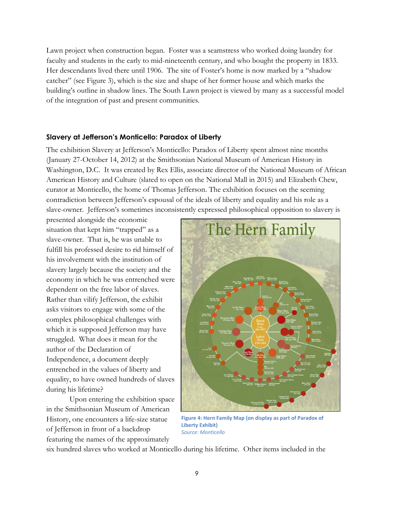Lawn project when construction began. Foster was a seamstress who worked doing laundry for faculty and students in the early to mid-nineteenth century, and who bought the property in 1833. Her descendants lived there until 1906. The site of Foster's home is now marked by a "shadow catcher" (see Figure 3), which is the size and shape of her former house and which marks the building's outline in shadow lines. The South Lawn project is viewed by many as a successful model of the integration of past and present communities.

### **Slavery at Jefferson's Monticello: Paradox of Liberty**

The exhibition Slavery at Jefferson's Monticello: Paradox of Liberty spent almost nine months (January 27-October 14, 2012) at the Smithsonian National Museum of American History in Washington, D.C. It was created by Rex Ellis, associate director of the National Museum of African American History and Culture (slated to open on the National Mall in 2015) and Elizabeth Chew, curator at Monticello, the home of Thomas Jefferson. The exhibition focuses on the seeming contradiction between Jefferson's espousal of the ideals of liberty and equality and his role as a slave-owner. Jefferson's sometimes inconsistently expressed philosophical opposition to slavery is

presented alongside the economic situation that kept him "trapped" as a slave-owner. That is, he was unable to fulfill his professed desire to rid himself of his involvement with the institution of slavery largely because the society and the economy in which he was entrenched were dependent on the free labor of slaves. Rather than vilify Jefferson, the exhibit asks visitors to engage with some of the complex philosophical challenges with which it is supposed Jefferson may have struggled. What does it mean for the author of the Declaration of Independence, a document deeply entrenched in the values of liberty and equality, to have owned hundreds of slaves during his lifetime?

Upon entering the exhibition space in the Smithsonian Museum of American History, one encounters a life-size statue of Jefferson in front of a backdrop featuring the names of the approximately



**Figure 4: Hern Family Map (on display as part of Paradox of Liberty Exhibit)** *Source: Monticello*

six hundred slaves who worked at Monticello during his lifetime. Other items included in the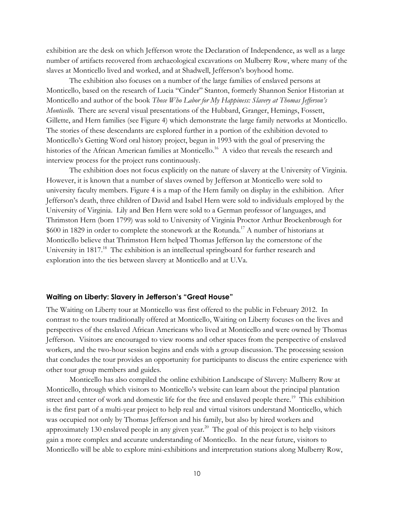exhibition are the desk on which Jefferson wrote the Declaration of Independence, as well as a large number of artifacts recovered from archaeological excavations on Mulberry Row, where many of the slaves at Monticello lived and worked, and at Shadwell, Jefferson's boyhood home.

The exhibition also focuses on a number of the large families of enslaved persons at Monticello, based on the research of Lucia "Cinder" Stanton, formerly Shannon Senior Historian at Monticello and author of the book *Those Who Labor for My Happiness: Slavery at Thomas Jefferson's Monticello*. There are several visual presentations of the Hubbard, Granger, Hemings, Fossett, Gillette, and Hern families (see Figure 4) which demonstrate the large family networks at Monticello. The stories of these descendants are explored further in a portion of the exhibition devoted to Monticello's Getting Word oral history project, begun in 1993 with the goal of preserving the histories of the African American families at Monticello.<sup>16</sup> A video that reveals the research and interview process for the project runs continuously.

The exhibition does not focus explicitly on the nature of slavery at the University of Virginia. However, it is known that a number of slaves owned by Jefferson at Monticello were sold to university faculty members. Figure 4 is a map of the Hern family on display in the exhibition. After Jefferson's death, three children of David and Isabel Hern were sold to individuals employed by the University of Virginia. Lily and Ben Hern were sold to a German professor of languages, and Thrimston Hern (born 1799) was sold to University of Virginia Proctor Arthur Brockenbrough for  $$600$  in 1829 in order to complete the stonework at the Rotunda.<sup>17</sup> A number of historians at Monticello believe that Thrimston Hern helped Thomas Jefferson lay the cornerstone of the University in 1817.<sup>18</sup> The exhibition is an intellectual springboard for further research and exploration into the ties between slavery at Monticello and at U.Va.

#### **Waiting on Liberty: Slavery in Jefferson's "Great House"**

The Waiting on Liberty tour at Monticello was first offered to the public in February 2012. In contrast to the tours traditionally offered at Monticello, Waiting on Liberty focuses on the lives and perspectives of the enslaved African Americans who lived at Monticello and were owned by Thomas Jefferson. Visitors are encouraged to view rooms and other spaces from the perspective of enslaved workers, and the two-hour session begins and ends with a group discussion. The processing session that concludes the tour provides an opportunity for participants to discuss the entire experience with other tour group members and guides.

Monticello has also compiled the online exhibition Landscape of Slavery: Mulberry Row at Monticello, through which visitors to Monticello's website can learn about the principal plantation street and center of work and domestic life for the free and enslaved people there.<sup>19</sup> This exhibition is the first part of a multi-year project to help real and virtual visitors understand Monticello, which was occupied not only by Thomas Jefferson and his family, but also by hired workers and approximately 130 enslaved people in any given year.<sup>20</sup> The goal of this project is to help visitors gain a more complex and accurate understanding of Monticello. In the near future, visitors to Monticello will be able to explore mini-exhibitions and interpretation stations along Mulberry Row,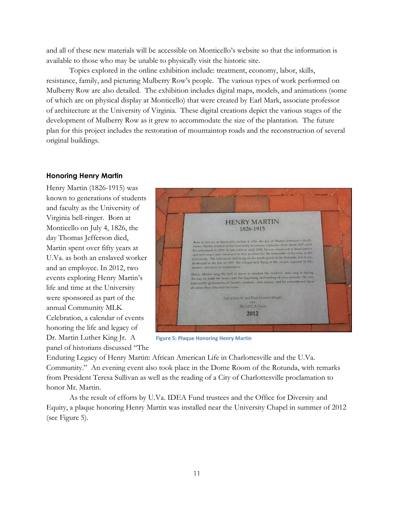and all of these new materials will be accessible on Monticello's website so that the information is available to those who may be unable to physically visit the historic site.

Topics explored in the online exhibition include: treatment, economy, labor, skills, resistance, family, and picturing Mulberry Row's people. The various types of work performed on Mulberry Row are also detailed. The exhibition includes digital maps, models, and animations (some of which are on physical display at Monticello) that were created by Earl Mark, associate professor of architecture at the University of Virginia. These digital creations depict the various stages of the development of Mulberry Row as it grew to accommodate the size of the plantation. The future plan for this project includes the restoration of mountaintop roads and the reconstruction of several original buildings.

# **Honoring Henry Martin**

Henry Martin (1826-1915) was known to generations of students and faculty as the University of Virginia bell-ringer. Born at Monticello on July 4, 1826, the day Thomas Jefferson died, Martin spent over fifty years at U.Va. as both an enslaved worker and an employee. In 2012, two events exploring Henry Martin's life and time at the University were sponsored as part of the annual Community MLK Celebration, a calendar of events honoring the life and legacy of Dr. Martin Luther King Jr. A panel of historians discussed "The



**Figure 5: Plaque Honoring Henry Martin**

Enduring Legacy of Henry Martin: African American Life in Charlottesville and the U.Va. Community." An evening event also took place in the Dome Room of the Rotunda, with remarks from President Teresa Sullivan as well as the reading of a City of Charlottesville proclamation to honor Mr. Martin.

As the result of efforts by U.Va. IDEA Fund trustees and the Office for Diversity and Equity, a plaque honoring Henry Martin was installed near the University Chapel in summer of 2012 (see Figure 5).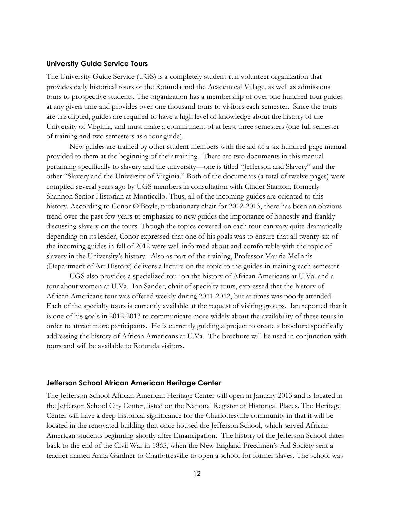#### **University Guide Service Tours**

The University Guide Service (UGS) is a completely student-run volunteer organization that provides daily historical tours of the Rotunda and the Academical Village, as well as admissions tours to prospective students. The organization has a membership of over one hundred tour guides at any given time and provides over one thousand tours to visitors each semester. Since the tours are unscripted, guides are required to have a high level of knowledge about the history of the University of Virginia, and must make a commitment of at least three semesters (one full semester of training and two semesters as a tour guide).

New guides are trained by other student members with the aid of a six hundred-page manual provided to them at the beginning of their training. There are two documents in this manual pertaining specifically to slavery and the university—one is titled "Jefferson and Slavery" and the other "Slavery and the University of Virginia." Both of the documents (a total of twelve pages) were compiled several years ago by UGS members in consultation with Cinder Stanton, formerly Shannon Senior Historian at Monticello. Thus, all of the incoming guides are oriented to this history. According to Conor O'Boyle, probationary chair for 2012-2013, there has been an obvious trend over the past few years to emphasize to new guides the importance of honestly and frankly discussing slavery on the tours. Though the topics covered on each tour can vary quite dramatically depending on its leader, Conor expressed that one of his goals was to ensure that all twenty-six of the incoming guides in fall of 2012 were well informed about and comfortable with the topic of slavery in the University's history. Also as part of the training, Professor Maurie McInnis (Department of Art History) delivers a lecture on the topic to the guides-in-training each semester.

UGS also provides a specialized tour on the history of African Americans at U.Va. and a tour about women at U.Va. Ian Sander, chair of specialty tours, expressed that the history of African Americans tour was offered weekly during 2011-2012, but at times was poorly attended. Each of the specialty tours is currently available at the request of visiting groups. Ian reported that it is one of his goals in 2012-2013 to communicate more widely about the availability of these tours in order to attract more participants. He is currently guiding a project to create a brochure specifically addressing the history of African Americans at U.Va. The brochure will be used in conjunction with tours and will be available to Rotunda visitors.

#### **Jefferson School African American Heritage Center**

The Jefferson School African American Heritage Center will open in January 2013 and is located in the Jefferson School City Center, listed on the National Register of Historical Places. The Heritage Center will have a deep historical significance for the Charlottesville community in that it will be located in the renovated building that once housed the Jefferson School, which served African American students beginning shortly after Emancipation. The history of the Jefferson School dates back to the end of the Civil War in 1865, when the New England Freedmen's Aid Society sent a teacher named Anna Gardner to Charlottesville to open a school for former slaves. The school was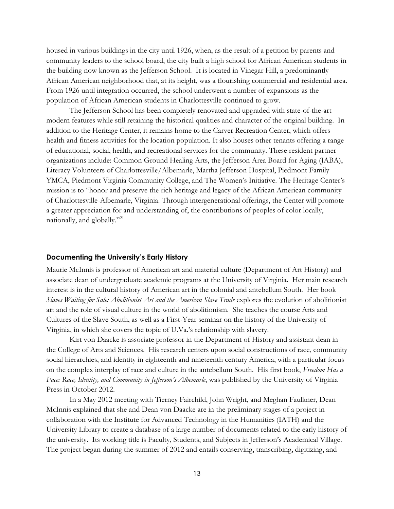housed in various buildings in the city until 1926, when, as the result of a petition by parents and community leaders to the school board, the city built a high school for African American students in the building now known as the Jefferson School. It is located in Vinegar Hill, a predominantly African American neighborhood that, at its height, was a flourishing commercial and residential area. From 1926 until integration occurred, the school underwent a number of expansions as the population of African American students in Charlottesville continued to grow.

The Jefferson School has been completely renovated and upgraded with state-of-the-art modern features while still retaining the historical qualities and character of the original building. In addition to the Heritage Center, it remains home to the Carver Recreation Center, which offers health and fitness activities for the location population. It also houses other tenants offering a range of educational, social, health, and recreational services for the community. These resident partner organizations include: Common Ground Healing Arts, the Jefferson Area Board for Aging (JABA), Literacy Volunteers of Charlottesville/Albemarle, Martha Jefferson Hospital, Piedmont Family YMCA, Piedmont Virginia Community College, and The Women's Initiative. The Heritage Center's mission is to "honor and preserve the rich heritage and legacy of the African American community of Charlottesville-Albemarle, Virginia. Through intergenerational offerings, the Center will promote a greater appreciation for and understanding of, the contributions of peoples of color locally, nationally, and globally."<sup>21</sup>

### **Documenting the University's Early History**

Maurie McInnis is professor of American art and material culture (Department of Art History) and associate dean of undergraduate academic programs at the University of Virginia. Her main research interest is in the cultural history of American art in the colonial and antebellum South. Her book *Slaves Waiting for Sale: Abolitionist Art and the American Slave Trade* explores the evolution of abolitionist art and the role of visual culture in the world of abolitionism. She teaches the course Arts and Cultures of the Slave South, as well as a First-Year seminar on the history of the University of Virginia, in which she covers the topic of U.Va.'s relationship with slavery.

Kirt von Daacke is associate professor in the Department of History and assistant dean in the College of Arts and Sciences. His research centers upon social constructions of race, community social hierarchies, and identity in eighteenth and nineteenth century America, with a particular focus on the complex interplay of race and culture in the antebellum South. His first book, *Freedom Has a Face: Race, Identity, and Community in Jefferson's Albemarle*, was published by the University of Virginia Press in October 2012.

In a May 2012 meeting with Tierney Fairchild, John Wright, and Meghan Faulkner, Dean McInnis explained that she and Dean von Daacke are in the preliminary stages of a project in collaboration with the Institute for Advanced Technology in the Humanities (IATH) and the University Library to create a database of a large number of documents related to the early history of the university. Its working title is Faculty, Students, and Subjects in Jefferson's Academical Village. The project began during the summer of 2012 and entails conserving, transcribing, digitizing, and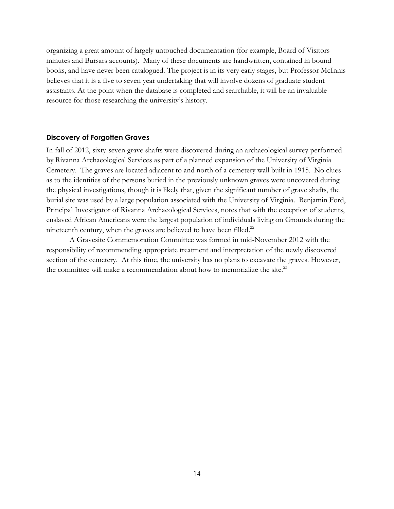organizing a great amount of largely untouched documentation (for example, Board of Visitors minutes and Bursars accounts). Many of these documents are handwritten, contained in bound books, and have never been catalogued. The project is in its very early stages, but Professor McInnis believes that it is a five to seven year undertaking that will involve dozens of graduate student assistants. At the point when the database is completed and searchable, it will be an invaluable resource for those researching the university's history.

#### **Discovery of Forgotten Graves**

In fall of 2012, sixty-seven grave shafts were discovered during an archaeological survey performed by Rivanna Archaeological Services as part of a planned expansion of the University of Virginia Cemetery. The graves are located adjacent to and north of a cemetery wall built in 1915. No clues as to the identities of the persons buried in the previously unknown graves were uncovered during the physical investigations, though it is likely that, given the significant number of grave shafts, the burial site was used by a large population associated with the University of Virginia. Benjamin Ford, Principal Investigator of Rivanna Archaeological Services, notes that with the exception of students, enslaved African Americans were the largest population of individuals living on Grounds during the nineteenth century, when the graves are believed to have been filled. $^{22}$ 

A Gravesite Commemoration Committee was formed in mid-November 2012 with the responsibility of recommending appropriate treatment and interpretation of the newly discovered section of the cemetery. At this time, the university has no plans to excavate the graves. However, the committee will make a recommendation about how to memorialize the site.<sup>23</sup>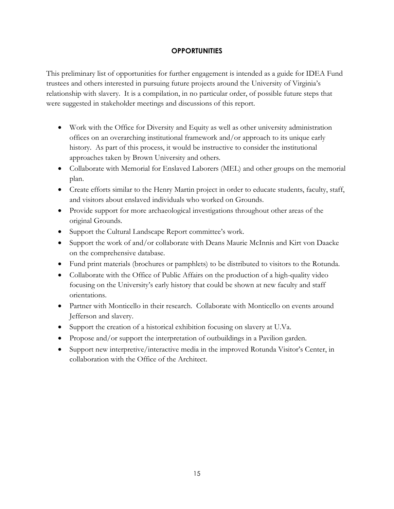# **OPPORTUNITIES**

This preliminary list of opportunities for further engagement is intended as a guide for IDEA Fund trustees and others interested in pursuing future projects around the University of Virginia's relationship with slavery. It is a compilation, in no particular order, of possible future steps that were suggested in stakeholder meetings and discussions of this report.

- Work with the Office for Diversity and Equity as well as other university administration offices on an overarching institutional framework and/or approach to its unique early history. As part of this process, it would be instructive to consider the institutional approaches taken by Brown University and others.
- Collaborate with Memorial for Enslaved Laborers (MEL) and other groups on the memorial plan.
- Create efforts similar to the Henry Martin project in order to educate students, faculty, staff, and visitors about enslaved individuals who worked on Grounds.
- Provide support for more archaeological investigations throughout other areas of the original Grounds.
- Support the Cultural Landscape Report committee's work.
- Support the work of and/or collaborate with Deans Maurie McInnis and Kirt von Daacke on the comprehensive database.
- Fund print materials (brochures or pamphlets) to be distributed to visitors to the Rotunda.
- Collaborate with the Office of Public Affairs on the production of a high-quality video focusing on the University's early history that could be shown at new faculty and staff orientations.
- Partner with Monticello in their research. Collaborate with Monticello on events around Jefferson and slavery.
- Support the creation of a historical exhibition focusing on slavery at U.Va.
- Propose and/or support the interpretation of outbuildings in a Pavilion garden.
- Support new interpretive/interactive media in the improved Rotunda Visitor's Center, in collaboration with the Office of the Architect.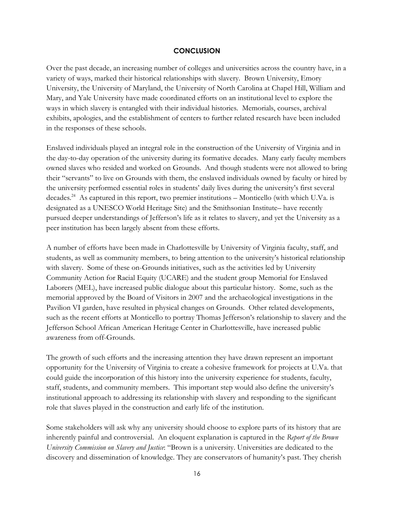### **CONCLUSION**

Over the past decade, an increasing number of colleges and universities across the country have, in a variety of ways, marked their historical relationships with slavery. Brown University, Emory University, the University of Maryland, the University of North Carolina at Chapel Hill, William and Mary, and Yale University have made coordinated efforts on an institutional level to explore the ways in which slavery is entangled with their individual histories. Memorials, courses, archival exhibits, apologies, and the establishment of centers to further related research have been included in the responses of these schools.

Enslaved individuals played an integral role in the construction of the University of Virginia and in the day-to-day operation of the university during its formative decades. Many early faculty members owned slaves who resided and worked on Grounds. And though students were not allowed to bring their "servants" to live on Grounds with them, the enslaved individuals owned by faculty or hired by the university performed essential roles in students' daily lives during the university's first several decades.<sup>24</sup> As captured in this report, two premier institutions – Monticello (with which U.Va. is designated as a UNESCO World Heritage Site) and the Smithsonian Institute– have recently pursued deeper understandings of Jefferson's life as it relates to slavery, and yet the University as a peer institution has been largely absent from these efforts.

A number of efforts have been made in Charlottesville by University of Virginia faculty, staff, and students, as well as community members, to bring attention to the university's historical relationship with slavery. Some of these on-Grounds initiatives, such as the activities led by University Community Action for Racial Equity (UCARE) and the student group Memorial for Enslaved Laborers (MEL), have increased public dialogue about this particular history. Some, such as the memorial approved by the Board of Visitors in 2007 and the archaeological investigations in the Pavilion VI garden, have resulted in physical changes on Grounds. Other related developments, such as the recent efforts at Monticello to portray Thomas Jefferson's relationship to slavery and the Jefferson School African American Heritage Center in Charlottesville, have increased public awareness from off-Grounds.

The growth of such efforts and the increasing attention they have drawn represent an important opportunity for the University of Virginia to create a cohesive framework for projects at U.Va. that could guide the incorporation of this history into the university experience for students, faculty, staff, students, and community members. This important step would also define the university's institutional approach to addressing its relationship with slavery and responding to the significant role that slaves played in the construction and early life of the institution.

Some stakeholders will ask why any university should choose to explore parts of its history that are inherently painful and controversial. An eloquent explanation is captured in the *Report of the Brown University Commission on Slavery and Justice*: "Brown is a university. Universities are dedicated to the discovery and dissemination of knowledge. They are conservators of humanity's past. They cherish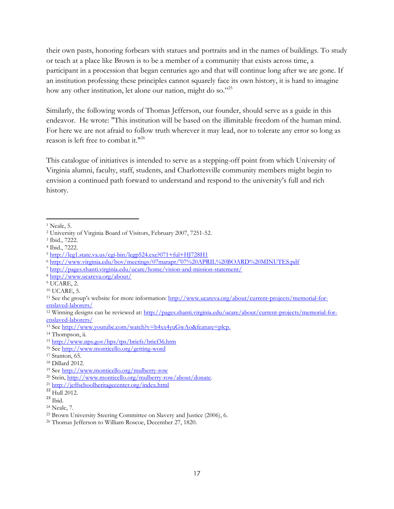their own pasts, honoring forbears with statues and portraits and in the names of buildings. To study or teach at a place like Brown is to be a member of a community that exists across time, a participant in a procession that began centuries ago and that will continue long after we are gone. If an institution professing these principles cannot squarely face its own history, it is hard to imagine how any other institution, let alone our nation, might do so."25

Similarly, the following words of Thomas Jefferson, our founder, should serve as a guide in this endeavor. He wrote: "This institution will be based on the illimitable freedom of the human mind. For here we are not afraid to follow truth wherever it may lead, nor to tolerate any error so long as reason is left free to combat it."<sup>26</sup>

This catalogue of initiatives is intended to serve as a stepping-off point from which University of Virginia alumni, faculty, staff, students, and Charlottesville community members might begin to envision a continued path forward to understand and respond to the university's full and rich history.

<sup>19</sup> See<http://www.monticello.org/mulberry-row>

 $\overline{\phantom{a}}$ <sup>1</sup> Neale, 5.

<sup>2</sup> University of Virginia Board of Visitors, February 2007, 7251-52.

<sup>3</sup> Ibid., 7222.

<sup>4</sup> Ibid., 7222.

 $5 \text{ http://leg1.state.va.us/cej-bin/legp524.exe?071+ful+HI728H1}$ 

<sup>6</sup> [http://www.virginia.edu/bov/meetings/07marapr/'07%20APRIL%20BOARD%20MINUTES.pdf](http://www.virginia.edu/bov/meetings/07marapr/)

<sup>7</sup> <http://pages.shanti.virginia.edu/ucare/home/vision-and-mission-statement/>

<sup>8</sup> <http://www.ucareva.org/about/>

<sup>9</sup> UCARE, 2.

<sup>10</sup> UCARE, 5.

<sup>11</sup> See the group's website for more information: [http://www.ucareva.org/about/current-projects/memorial-for](http://www.ucareva.org/about/current-projects/memorial-for-enslaved-laborers/)[enslaved-laborers/](http://www.ucareva.org/about/current-projects/memorial-for-enslaved-laborers/)

<sup>&</sup>lt;sup>12</sup> Winning designs can be reviewed at: [http://pages.shanti.virginia.edu/ucare/about/current-projects/memorial-for](http://pages.shanti.virginia.edu/ucare/about/current-projects/memorial-for-enslaved-laborers/)[enslaved-laborers/](http://pages.shanti.virginia.edu/ucare/about/current-projects/memorial-for-enslaved-laborers/)

<sup>13</sup> See [http://www.youtube.com/watch?v=h4xx4yuGwAo&feature=plcp.](http://www.youtube.com/watch?v=h4xx4yuGwAo&feature=plcp)

<sup>14</sup> Thompson, ii.

<sup>15</sup> <http://www.nps.gov/hps/tps/briefs/brief36.htm>

<sup>16</sup> See<http://www.monticello.org/getting-word>

<sup>17</sup> Stanton, 65.

<sup>18</sup> Dillard 2012.

<sup>20</sup> Stein, [http://www.monticello.org/mulberry-row/about/donate.](http://www.monticello.org/mulberry-row/about/donate)

<sup>21</sup> <http://jeffschoolheritagecenter.org/index.html>

 $22$  Hull 2012.

 $23$  Ibid.

<sup>24</sup> Neale, 7.

<sup>25</sup> Brown University Steering Committee on Slavery and Justice (2006), 6.

<sup>26</sup> Thomas Jefferson to William Roscoe, December 27, 1820.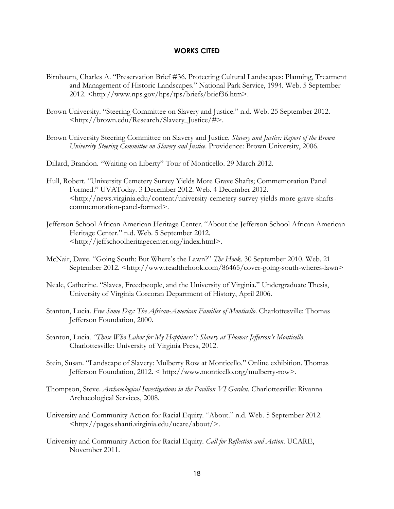#### **WORKS CITED**

- Birnbaum, Charles A. "Preservation Brief #36. Protecting Cultural Landscapes: Planning, Treatment and Management of Historic Landscapes." National Park Service, 1994. Web. 5 September 2012. <http://www.nps.gov/hps/tps/briefs/brief36.htm>.
- Brown University. "Steering Committee on Slavery and Justice." n.d. Web. 25 September 2012. <http://brown.edu/Research/Slavery\_Justice/#>.
- Brown University Steering Committee on Slavery and Justice. *Slavery and Justice: Report of the Brown University Steering Committee on Slavery and Justice*. Providence: Brown University, 2006.
- Dillard, Brandon. "Waiting on Liberty" Tour of Monticello. 29 March 2012.
- Hull, Robert. "University Cemetery Survey Yields More Grave Shafts; Commemoration Panel Formed." UVAToday. 3 December 2012. Web. 4 December 2012. <http://news.virginia.edu/content/university-cemetery-survey-yields-more-grave-shaftscommemoration-panel-formed>.
- Jefferson School African American Heritage Center. "About the Jefferson School African American Heritage Center." n.d. Web. 5 September 2012. <http://jeffschoolheritagecenter.org/index.html>.
- McNair, Dave. "Going South: But Where's the Lawn?" *The Hook*. 30 September 2010. Web. 21 September 2012. <http://www.readthehook.com/86465/cover-going-south-wheres-lawn>
- Neale, Catherine. "Slaves, Freedpeople, and the University of Virginia." Undergraduate Thesis, University of Virginia Corcoran Department of History, April 2006.
- Stanton, Lucia. *Free Some Day: The African-American Families of Monticello*. Charlottesville: Thomas Jefferson Foundation, 2000.
- Stanton, Lucia. *"Those Who Labor for My Happiness": Slavery at Thomas Jefferson's Monticello*. Charlottesville: University of Virginia Press, 2012.
- Stein, Susan. "Landscape of Slavery: Mulberry Row at Monticello." Online exhibition. Thomas Jefferson Foundation, 2012. < http://www.monticello.org/mulberry-row>.
- Thompson, Steve. *Archaeological Investigations in the Pavilion VI Garden*. Charlottesville: Rivanna Archaeological Services, 2008.
- University and Community Action for Racial Equity. "About." n.d. Web. 5 September 2012. <http://pages.shanti.virginia.edu/ucare/about/>.
- University and Community Action for Racial Equity. *Call for Reflection and Action*. UCARE, November 2011.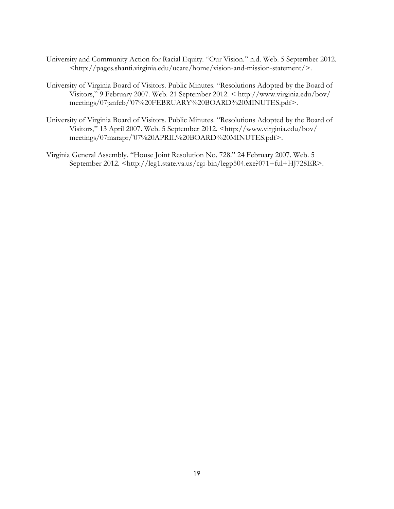- University and Community Action for Racial Equity. "Our Vision." n.d. Web. 5 September 2012. <http://pages.shanti.virginia.edu/ucare/home/vision-and-mission-statement/>.
- University of Virginia Board of Visitors. Public Minutes. "Resolutions Adopted by the Board of Visitors," 9 February 2007. Web. 21 September 2012. < http://www.virginia.edu/bov/ meetings/07janfeb/'07%20FEBRUARY%20BOARD%20MINUTES.pdf>.
- University of Virginia Board of Visitors. Public Minutes. "Resolutions Adopted by the Board of Visitors," 13 April 2007. Web. 5 September 2012. <http://www.virginia.edu/bov/ meetings/07marapr/'07%20APRIL%20BOARD%20MINUTES.pdf>.
- Virginia General Assembly. "House Joint Resolution No. 728." 24 February 2007. Web. 5 September 2012. <http://leg1.state.va.us/cgi-bin/legp504.exe?071+ful+HJ728ER>.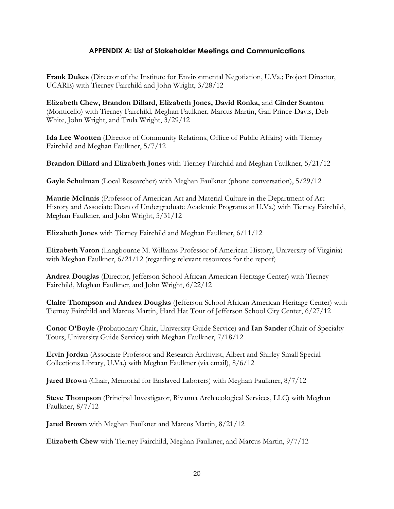# **APPENDIX A: List of Stakeholder Meetings and Communications**

**Frank Dukes** (Director of the Institute for Environmental Negotiation, U.Va.; Project Director, UCARE) with Tierney Fairchild and John Wright, 3/28/12

**Elizabeth Chew, Brandon Dillard, Elizabeth Jones, David Ronka,** and **Cinder Stanton**  (Monticello) with Tierney Fairchild, Meghan Faulkner, Marcus Martin, Gail Prince-Davis, Deb White, John Wright, and Trula Wright, 3/29/12

**Ida Lee Wootten** (Director of Community Relations, Office of Public Affairs) with Tierney Fairchild and Meghan Faulkner, 5/7/12

**Brandon Dillard** and **Elizabeth Jones** with Tierney Fairchild and Meghan Faulkner, 5/21/12

**Gayle Schulman** (Local Researcher) with Meghan Faulkner (phone conversation), 5/29/12

**Maurie McInnis** (Professor of American Art and Material Culture in the Department of Art History and Associate Dean of Undergraduate Academic Programs at U.Va.) with Tierney Fairchild, Meghan Faulkner, and John Wright, 5/31/12

**Elizabeth Jones** with Tierney Fairchild and Meghan Faulkner, 6/11/12

**Elizabeth Varon** (Langbourne M. Williams Professor of American History, University of Virginia) with Meghan Faulkner,  $6/21/12$  (regarding relevant resources for the report)

**Andrea Douglas** (Director, Jefferson School African American Heritage Center) with Tierney Fairchild, Meghan Faulkner, and John Wright, 6/22/12

**Claire Thompson** and **Andrea Douglas** (Jefferson School African American Heritage Center) with Tierney Fairchild and Marcus Martin, Hard Hat Tour of Jefferson School City Center, 6/27/12

**Conor O'Boyle** (Probationary Chair, University Guide Service) and **Ian Sander** (Chair of Specialty Tours, University Guide Service) with Meghan Faulkner, 7/18/12

**Ervin Jordan** (Associate Professor and Research Archivist, Albert and Shirley Small Special Collections Library, U.Va.) with Meghan Faulkner (via email), 8/6/12

**Jared Brown** (Chair, Memorial for Enslaved Laborers) with Meghan Faulkner, 8/7/12

**Steve Thompson** (Principal Investigator, Rivanna Archaeological Services, LLC) with Meghan Faulkner, 8/7/12

**Jared Brown** with Meghan Faulkner and Marcus Martin, 8/21/12

**Elizabeth Chew** with Tierney Fairchild, Meghan Faulkner, and Marcus Martin, 9/7/12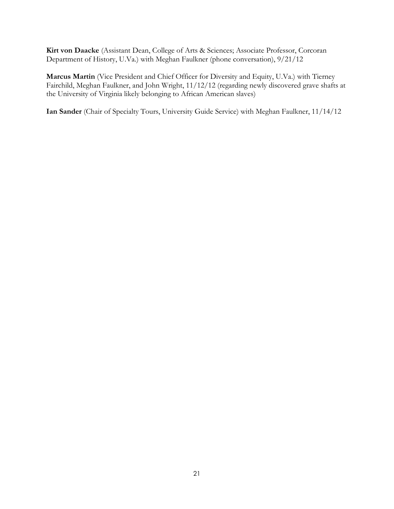**Kirt von Daacke** (Assistant Dean, College of Arts & Sciences; Associate Professor, Corcoran Department of History, U.Va.) with Meghan Faulkner (phone conversation), 9/21/12

**Marcus Martin** (Vice President and Chief Officer for Diversity and Equity, U.Va.) with Tierney Fairchild, Meghan Faulkner, and John Wright, 11/12/12 (regarding newly discovered grave shafts at the University of Virginia likely belonging to African American slaves)

**Ian Sander** (Chair of Specialty Tours, University Guide Service) with Meghan Faulkner, 11/14/12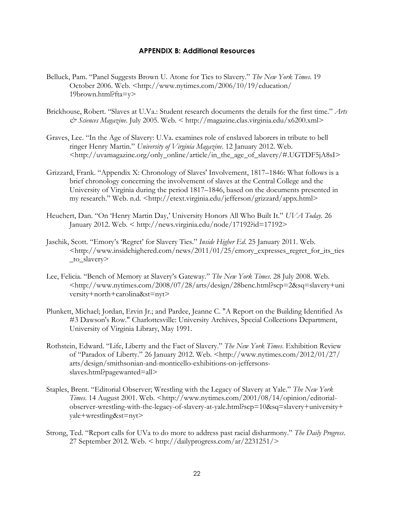#### **APPENDIX B: Additional Resources**

- Belluck, Pam. "Panel Suggests Brown U. Atone for Ties to Slavery." *The New York Times*. 19 October 2006. Web. <http://www.nytimes.com/2006/10/19/education/ 19brown.html?fta=y>
- Brickhouse, Robert. "Slaves at U.Va.: Student research documents the details for the first time." *Arts & Sciences Magazine*. July 2005. Web. < http://magazine.clas.virginia.edu/x6200.xml>
- Graves, Lee. "In the Age of Slavery: U.Va. examines role of enslaved laborers in tribute to bell ringer Henry Martin." *University of Virginia Magazine*. 12 January 2012. Web. <http://uvamagazine.org/only\_online/article/in\_the\_age\_of\_slavery/#.UGTDF5jA8sI>
- Grizzard, Frank. "Appendix X: Chronology of Slaves' Involvement, 1817–1846: What follows is a brief chronology concerning the involvement of slaves at the Central College and the University of Virginia during the period 1817–1846, based on the documents presented in my research." Web. n.d. <http://etext.virginia.edu/jefferson/grizzard/appx.html>
- Heuchert, Dan. "On 'Henry Martin Day,' University Honors All Who Built It." *UVA Today*. 26 January 2012. Web. < http://news.virginia.edu/node/17192?id=17192>
- Jaschik, Scott. "Emory's 'Regret' for Slavery Ties." *Inside Higher Ed*. 25 January 2011. Web. <http://www.insidehighered.com/news/2011/01/25/emory\_expresses\_regret\_for\_its\_ties \_to\_slavery>
- Lee, Felicia. "Bench of Memory at Slavery's Gateway." *The New York Times*. 28 July 2008. Web. <http://www.nytimes.com/2008/07/28/arts/design/28benc.html?scp=2&sq=slavery+uni versity+north+carolina&st=nyt>
- Plunkett, Michael; Jordan, Ervin Jr.; and Pardee, Jeanne C. "A Report on the Building Identified As #3 Dawson's Row." Charlottesville: University Archives, Special Collections Department, University of Virginia Library, May 1991.
- Rothstein, Edward. "Life, Liberty and the Fact of Slavery." *The New York Times*. Exhibition Review of "Paradox of Liberty." 26 January 2012. Web. <http://www.nytimes.com/2012/01/27/ arts/design/smithsonian-and-monticello-exhibitions-on-jeffersonsslaves.html?pagewanted=all>
- Staples, Brent. "Editorial Observer; Wrestling with the Legacy of Slavery at Yale." *The New York Times*. 14 August 2001. Web. <http://www.nytimes.com/2001/08/14/opinion/editorialobserver-wrestling-with-the-legacy-of-slavery-at-yale.html?scp=10&sq=slavery+university+ yale+wrestling&st=nyt>
- Strong, Ted. "Report calls for UVa to do more to address past racial disharmony." *The Daily Progress*. 27 September 2012. Web. < http://dailyprogress.com/ar/2231251/>